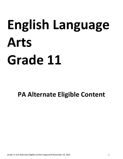# **English Language Arts Grade 11**

# **PA Alternate Eligible Content**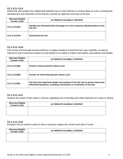## **CC.1.3.11–12.A**

Determine and analyze the relationship between two or more themes or central ideas of a text, including the development and interaction of the themes; provide an objective summary of the text.

| <b>Alternate Eligible</b><br><b>Content Code</b> | <b>ALTERNATE ELIGIBLE CONTENT</b>                                                          |
|--------------------------------------------------|--------------------------------------------------------------------------------------------|
| CC1.3.1112Aa                                     | Identify two themes/central messages of a text using key details/evidence from<br>the text |
| CC1.3.1112Ab                                     | <b>Summarize the text</b>                                                                  |

#### **CC.1.3.11–12.B**

Cite strong and thorough textual evidence to support analysis of what the text says explicitly, as well as inferences and conclusions based on and related to an author's implicit and explicit assumptions and beliefs.

| <b>Alternate Eligible</b><br><b>Content Code</b> | <b>ALTERNATE ELIGIBLE CONTENT</b>                                                                                                                         |
|--------------------------------------------------|-----------------------------------------------------------------------------------------------------------------------------------------------------------|
| CC1.3.1112Ba                                     | Answer a literal question about a text                                                                                                                    |
| CC1.3.1112Bb                                     | Answer an inferential question about a text                                                                                                               |
| CC1.3.1112Bc                                     | Cite the most important details and evidence from the text to answer literal and<br>inferential questions, including conclusions or summaries of the plot |

# **CC.1.3.11–12.C**

Analyze the impact of the author's choices regarding how to develop and relate elements of a story or drama.

| <b>Alternate Eligible</b><br><b>Content Code</b> | <b>ALTERNATE ELIGIBLE CONTENT</b> |
|--------------------------------------------------|-----------------------------------|
|                                                  |                                   |
|                                                  |                                   |

#### **CC.1.3.11–12.D**

Evaluate how an author's point of view or purpose shapes the content and style of a text.

| <b>Alternate Eligible</b><br><b>Content Code</b> | <b>ALTERNATE ELIGIBLE CONTENT</b> |
|--------------------------------------------------|-----------------------------------|
|                                                  |                                   |
|                                                  |                                   |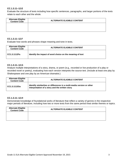# **CC.1.3.11–12.E**

Evaluate the structure of texts including how specific sentences, paragraphs, and larger portions of the texts relate to each other and the whole.

| <b>Alternate Eligible<br/>Content Code</b> | <b>ALTERNATE ELIGIBLE CONTENT</b> |
|--------------------------------------------|-----------------------------------|
|                                            |                                   |
|                                            |                                   |

#### **CC.1.3.11–12.F**

Evaluate how words and phrases shape meaning and tone in texts.

| <b>Alternate Eligible</b><br><b>Content Code</b> | <b>ALTERNATE ELIGIBLE CONTENT</b>                         |
|--------------------------------------------------|-----------------------------------------------------------|
| CC1.3.1112Fa                                     | Identify the impact of word choice on the meaning of text |

#### **CC.1.3.11–12.G**

Analyze multiple interpretations of a story, drama, or poem (e.g., recorded or live production of a play or recorded novel or poetry), evaluating how each version interprets the source text. (Include at least one play by Shakespeare and one play by an American dramatist.)

| <b>Alternate Eligible</b><br><b>Content Code</b> | <b>ALTERNATE ELIGIBLE CONTENT</b>                                                                                         |
|--------------------------------------------------|---------------------------------------------------------------------------------------------------------------------------|
| CC1.3.1112Ga                                     | Identify similarities or differences in a multi-media version or other<br>interpretation of a story and the written story |

#### **CC.1.3.11–12.H**

Demonstrate knowledge of foundational works of literature that reflect a variety of genres in the respective major periods of literature, including how two or more texts from the same period treat similar themes or topics.

| <b>Alternate Eligible</b><br><b>Content Code</b> | <b>ALTERNATE ELIGIBLE CONTENT</b> |
|--------------------------------------------------|-----------------------------------|
|                                                  |                                   |
|                                                  |                                   |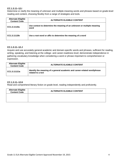# **CC.1.3.11–12.I**

Determine or clarify the meaning of unknown and multiple-meaning words and phrases based on grade-level reading and content, choosing flexibly from a range of strategies and tools.

| <b>Alternate Eligible</b><br><b>Content Code</b> | <b>ALTERNATE ELIGIBLE CONTENT</b>                                              |
|--------------------------------------------------|--------------------------------------------------------------------------------|
| CC1.3.1112la                                     | Use context to determine the meaning of an unknown or multiple meaning<br>word |
| CC1.3.1112lb                                     | Use a root word or affix to determine the meaning of a word                    |

#### **CC.1.3.11–12.J**

Acquire and use accurately general academic and domain-specific words and phrases, sufficient for reading, writing, speaking, and listening at the college- and career-readiness level; demonstrate independence in gathering vocabulary knowledge when considering a word or phrase important to comprehension or expression.

| <b>Alternate Eligible</b><br><b>Content Code</b> | <b>ALTERNATE ELIGIBLE CONTENT</b>                                                              |
|--------------------------------------------------|------------------------------------------------------------------------------------------------|
| CC1.3.1112Ja                                     | Identify the meaning of a general academic and career-related word/phrase<br>related to a text |

#### **CC.1.3.11–12.K**

Read and comprehend literary fiction on grade level, reading independently and proficiently.

| <b>Alternate Eligible</b><br><b>Content Code</b> | <b>ALTERNATE ELIGIBLE CONTENT</b> |
|--------------------------------------------------|-----------------------------------|
|                                                  |                                   |
|                                                  |                                   |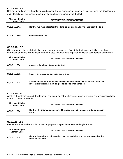# **CC.1.2.11–12.A**

Determine and analyze the relationship between two or more central ideas of a text, including the development and interaction of the central ideas; provide an objective summary of the text.

| <b>Alternate Eligible</b><br><b>Content Code</b> | <b>ALTERNATE ELIGIBLE CONTENT</b>                                              |
|--------------------------------------------------|--------------------------------------------------------------------------------|
| CC1.2.1112Aa                                     | Identify two main ideas/central ideas using key details/evidence from the text |
| CC1.2.1112Ab                                     | Summarize the text                                                             |

#### **CC.1.2.11–12.B**

Cite strong and thorough textual evidence to support analysis of what the text says explicitly, as well as inferences and conclusions based on and related to an author's implicit and explicit assumptions and beliefs.

| <b>Alternate Eligible</b><br><b>Content Code</b> | <b>ALTERNATE ELIGIBLE CONTENT</b>                                                                                                             |
|--------------------------------------------------|-----------------------------------------------------------------------------------------------------------------------------------------------|
| CC1.2.1112Ba                                     | Answer a literal question about a text                                                                                                        |
| CC1.2.1112Bb                                     | Answer an inferential question about a text                                                                                                   |
| CC1.2.1112Bc                                     | Cite the most important details and evidence from the text to answer literal and<br>inferential questions, including conclusions or summaries |

#### **CC.1.2.11–12.C**

Analyze the interaction and development of a complex set of ideas, sequence of events, or specific individuals over the course of the text.

| <b>Alternate Eligible</b><br><b>Content Code</b> | <b>ALTERNATE ELIGIBLE CONTENT</b>                                                           |
|--------------------------------------------------|---------------------------------------------------------------------------------------------|
| CC1.2.1112Ca                                     | Identify why interactions occurred between two individuals, events, or ideas in<br>the text |

#### **CC.1.2.11–12.D**

Evaluate how an author's point of view or purpose shapes the content and style of a text.

| <b>Alternate Eligible</b><br><b>Content Code</b> | <b>ALTERNATE ELIGIBLE CONTENT</b>                                                                        |
|--------------------------------------------------|----------------------------------------------------------------------------------------------------------|
| CC1.2.1112Da                                     | Identify the author's point-of-view in a text and give one or more examples that<br>illustrate this view |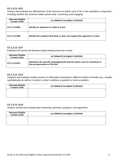# **CC.1.2.11–12.E**

Analyze and evaluate the effectiveness of the structure an author uses in his or her exposition or argument, including whether the structure makes points clear, convincing, and engaging.

| <b>Alternate Eligible</b><br><b>Content Code</b> | <b>ALTERNATE ELIGIBLE CONTENT</b>                                         |
|--------------------------------------------------|---------------------------------------------------------------------------|
| CC1.2.1112Ea                                     | Identify an argument or claim in a text                                   |
| CC1.2.1112Eb                                     | Identify the evidence that does or does not support the argument or claim |

## **CC.1.2.11–12.F**

Evaluate how words and phrases shape meaning and tone in texts.

| <b>Alternate Eligible</b><br><b>Content Code</b> | <b>ALTERNATE ELIGIBLE CONTENT</b>                                                                             |
|--------------------------------------------------|---------------------------------------------------------------------------------------------------------------|
| CC1.2.1112Fa                                     | Determine the specific language/words that the author uses to contribute to<br>the persuasiveness of the text |

## **CC.1.2.11–12.G**

Integrate and evaluate multiple sources of information presented in different media or formats (e.g., visually, quantitatively) as well as in words in order to address a question or solve a problem.

| <b>Alternate Eligible</b><br><b>Content Code</b> | <b>ALTERNATE ELIGIBLE CONTENT</b> |
|--------------------------------------------------|-----------------------------------|
|                                                  |                                   |
|                                                  |                                   |

# **CC.1.2.11–12.H**

Analyze seminal texts based upon reasoning, premises, purposes, and arguments.

| <b>Alternate Eligible</b><br><b>Content Code</b> | <b>ALTERNATE ELIGIBLE CONTENT</b> |
|--------------------------------------------------|-----------------------------------|
|                                                  |                                   |
|                                                  |                                   |